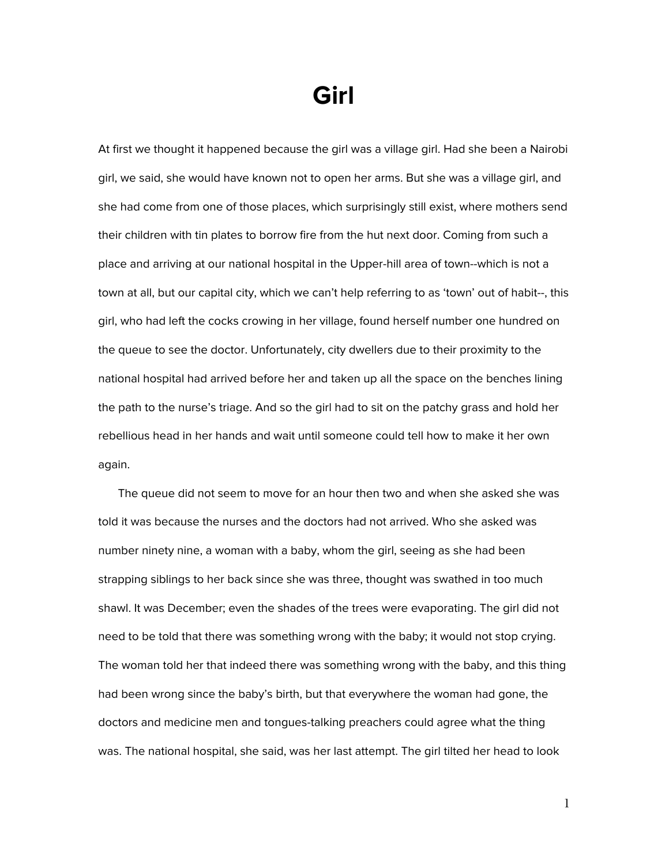## **Girl**

At first we thought it happened because the girl was a village girl. Had she been a Nairobi girl, we said, she would have known not to open her arms. But she was a village girl, and she had come from one of those places, which surprisingly still exist, where mothers send their children with tin plates to borrow fire from the hut next door. Coming from such a place and arriving at our national hospital in the Upper-hill area of town--which is not a town at all, but our capital city, which we can't help referring to as 'town' out of habit--, this girl, who had left the cocks crowing in her village, found herself number one hundred on the queue to see the doctor. Unfortunately, city dwellers due to their proximity to the national hospital had arrived before her and taken up all the space on the benches lining the path to the nurse's triage. And so the girl had to sit on the patchy grass and hold her rebellious head in her hands and wait until someone could tell how to make it her own again.

The queue did not seem to move for an hour then two and when she asked she was told it was because the nurses and the doctors had not arrived. Who she asked was number ninety nine, a woman with a baby, whom the girl, seeing as she had been strapping siblings to her back since she was three, thought was swathed in too much shawl. It was December; even the shades of the trees were evaporating. The girl did not need to be told that there was something wrong with the baby; it would not stop crying. The woman told her that indeed there was something wrong with the baby, and this thing had been wrong since the baby's birth, but that everywhere the woman had gone, the doctors and medicine men and tongues-talking preachers could agree what the thing was. The national hospital, she said, was her last attempt. The girl tilted her head to look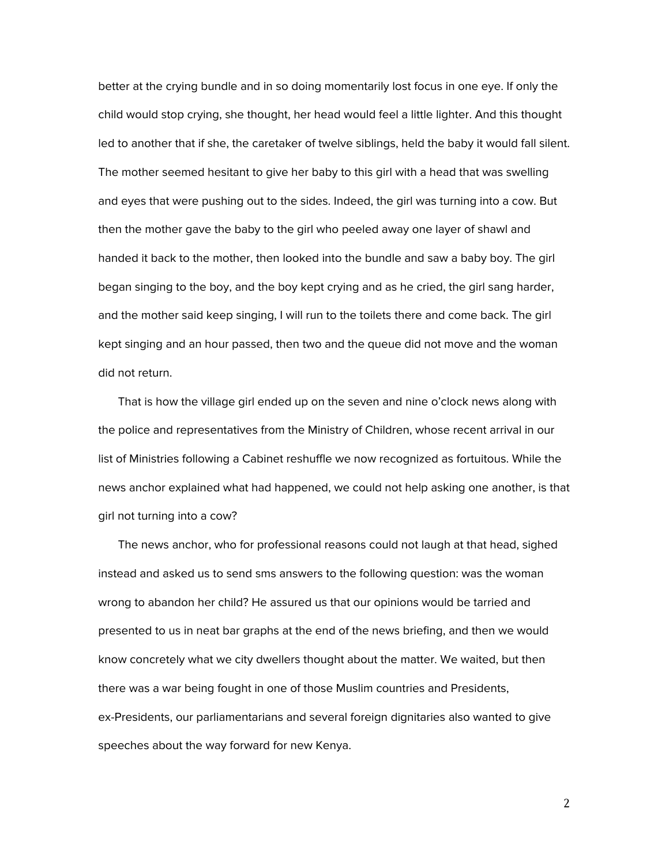better at the crying bundle and in so doing momentarily lost focus in one eye. If only the child would stop crying, she thought, her head would feel a little lighter. And this thought led to another that if she, the caretaker of twelve siblings, held the baby it would fall silent. The mother seemed hesitant to give her baby to this girl with a head that was swelling and eyes that were pushing out to the sides. Indeed, the girl was turning into a cow. But then the mother gave the baby to the girl who peeled away one layer of shawl and handed it back to the mother, then looked into the bundle and saw a baby boy. The girl began singing to the boy, and the boy kept crying and as he cried, the girl sang harder, and the mother said keep singing, I will run to the toilets there and come back. The girl kept singing and an hour passed, then two and the queue did not move and the woman did not return.

That is how the village girl ended up on the seven and nine o'clock news along with the police and representatives from the Ministry of Children, whose recent arrival in our list of Ministries following a Cabinet reshuffle we now recognized as fortuitous. While the news anchor explained what had happened, we could not help asking one another, is that girl not turning into a cow?

The news anchor, who for professional reasons could not laugh at that head, sighed instead and asked us to send sms answers to the following question: was the woman wrong to abandon her child? He assured us that our opinions would be tarried and presented to us in neat bar graphs at the end of the news briefing, and then we would know concretely what we city dwellers thought about the matter. We waited, but then there was a war being fought in one of those Muslim countries and Presidents, ex-Presidents, our parliamentarians and several foreign dignitaries also wanted to give speeches about the way forward for new Kenya.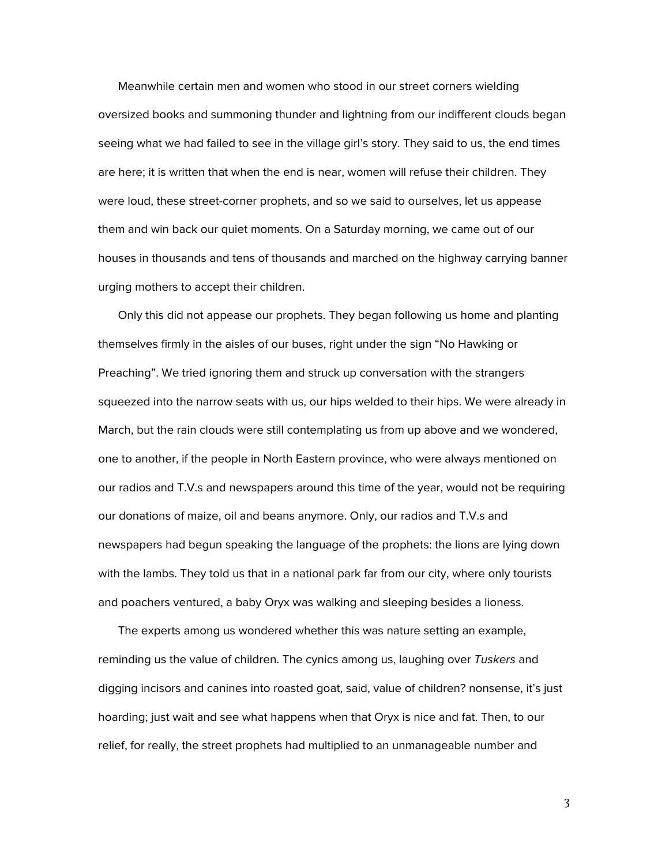Meanwhile certain men and women who stood in our street corners wielding oversized books and summoning thunder and lightning from our indifferent clouds began seeing what we had failed to see in the village girl's story. They said to us, the end times are here; it is written that when the end is near, women will refuse their children. They were loud, these street-corner prophets, and so we said to ourselves, let us appease them and win back our quiet moments. On a Saturday morning, we came out of our houses in thousands and tens of thousands and marched on the highway carrying banner urging mothers to accept their children.

Only this did not appease our prophets. They began following us home and planting themselves firmly in the aisles of our buses, right under the sign "No Hawking or Preaching". We tried ignoring them and struck up conversation with the strangers squeezed into the narrow seats with us, our hips welded to their hips. We were already in March, but the rain clouds were still contemplating us from up above and we wondered, one to another, if the people in North Eastern province, who were always mentioned on our radios and T.V.s and newspapers around this time of the year, would not be requiring our donations of maize, oil and beans anymore. Only, our radios and T.V.s and newspapers had begun speaking the language of the prophets: the lions are lying down with the lambs. They told us that in a national park far from our city, where only tourists and poachers ventured, a baby Oryx was walking and sleeping besides a lioness.

The experts among us wondered whether this was nature setting an example, reminding us the value of children. The cynics among us, laughing over Tuskers and digging incisors and canines into roasted goat, said, value of children? nonsense, it's just hoarding; just wait and see what happens when that Oryx is nice and fat. Then, to our relief, for really, the street prophets had multiplied to an unmanageable number and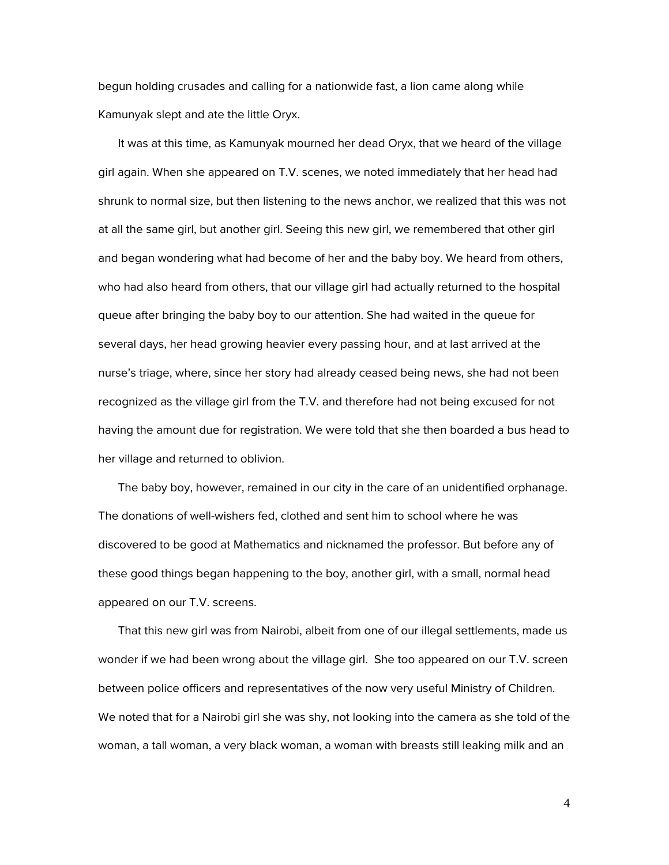begun holding crusades and calling for a nationwide fast, a lion came along while Kamunyak slept and ate the little Oryx.

It was at this time, as Kamunyak mourned her dead Oryx, that we heard of the village girl again. When she appeared on T.V. scenes, we noted immediately that her head had shrunk to normal size, but then listening to the news anchor, we realized that this was not at all the same girl, but another girl. Seeing this new girl, we remembered that other girl and began wondering what had become of her and the baby boy. We heard from others, who had also heard from others, that our village girl had actually returned to the hospital queue after bringing the baby boy to our attention. She had waited in the queue for several days, her head growing heavier every passing hour, and at last arrived at the nurse's triage, where, since her story had already ceased being news, she had not been recognized as the village girl from the T.V. and therefore had not being excused for not having the amount due for registration. We were told that she then boarded a bus head to her village and returned to oblivion.

The baby boy, however, remained in our city in the care of an unidentified orphanage. The donations of well-wishers fed, clothed and sent him to school where he was discovered to be good at Mathematics and nicknamed the professor. But before any of these good things began happening to the boy, another girl, with a small, normal head appeared on our T.V. screens.

That this new girl was from Nairobi, albeit from one of our illegal settlements, made us wonder if we had been wrong about the village girl. She too appeared on our T.V. screen between police officers and representatives of the now very useful Ministry of Children. We noted that for a Nairobi girl she was shy, not looking into the camera as she told of the woman, a tall woman, a very black woman, a woman with breasts still leaking milk and an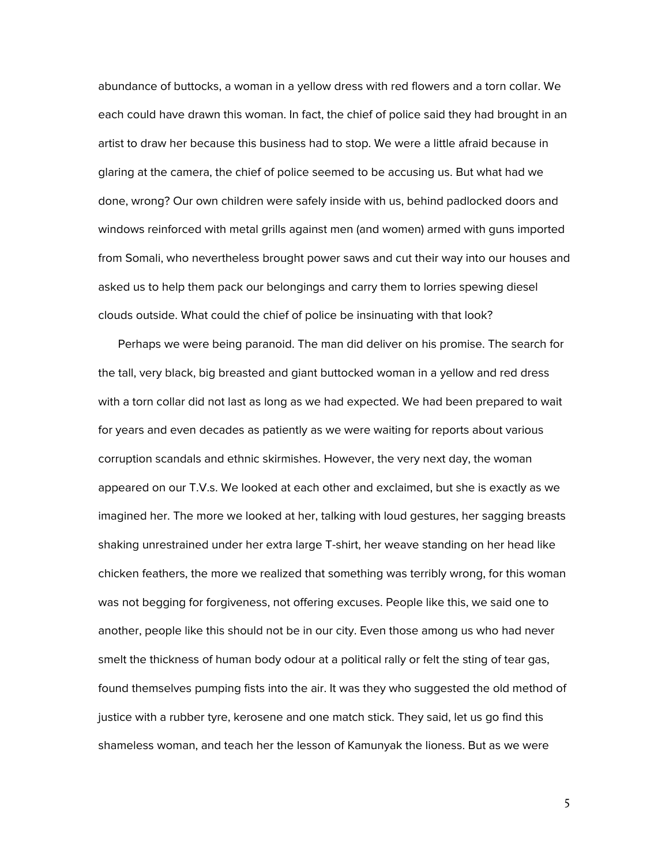abundance of buttocks, a woman in a yellow dress with red flowers and a torn collar. We each could have drawn this woman. In fact, the chief of police said they had brought in an artist to draw her because this business had to stop. We were a little afraid because in glaring at the camera, the chief of police seemed to be accusing us. But what had we done, wrong? Our own children were safely inside with us, behind padlocked doors and windows reinforced with metal grills against men (and women) armed with guns imported from Somali, who nevertheless brought power saws and cut their way into our houses and asked us to help them pack our belongings and carry them to lorries spewing diesel clouds outside. What could the chief of police be insinuating with that look?

Perhaps we were being paranoid. The man did deliver on his promise. The search for the tall, very black, big breasted and giant buttocked woman in a yellow and red dress with a torn collar did not last as long as we had expected. We had been prepared to wait for years and even decades as patiently as we were waiting for reports about various corruption scandals and ethnic skirmishes. However, the very next day, the woman appeared on our T.V.s. We looked at each other and exclaimed, but she is exactly as we imagined her. The more we looked at her, talking with loud gestures, her sagging breasts shaking unrestrained under her extra large T-shirt, her weave standing on her head like chicken feathers, the more we realized that something was terribly wrong, for this woman was not begging for forgiveness, not offering excuses. People like this, we said one to another, people like this should not be in our city. Even those among us who had never smelt the thickness of human body odour at a political rally or felt the sting of tear gas, found themselves pumping fists into the air. It was they who suggested the old method of justice with a rubber tyre, kerosene and one match stick. They said, let us go find this shameless woman, and teach her the lesson of Kamunyak the lioness. But as we were